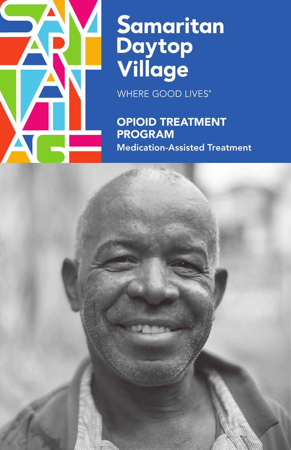

# Samaritan<br>Daytop<br>Village

**WHERE GOOD LIVES®** 

OPIOID TREATMENT PROGRAM Medication-Assisted Treatment

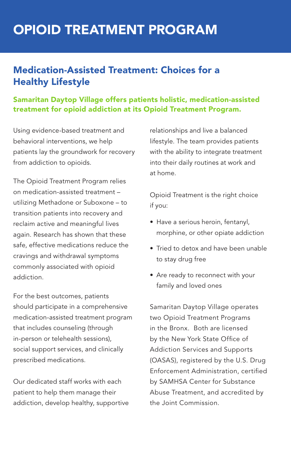# OPIOID TREATMENT PROGRAM

## Medication-Assisted Treatment: Choices for a Healthy Lifestyle

Samaritan Daytop Village offers patients holistic, medication-assisted treatment for opioid addiction at its Opioid Treatment Program.

Using evidence-based treatment and behavioral interventions, we help patients lay the groundwork for recovery from addiction to opioids.

The Opioid Treatment Program relies on medication-assisted treatment – utilizing Methadone or Suboxone – to transition patients into recovery and reclaim active and meaningful lives again. Research has shown that these safe, effective medications reduce the cravings and withdrawal symptoms commonly associated with opioid addiction.

For the best outcomes, patients should participate in a comprehensive medication-assisted treatment program that includes counseling (through in-person or telehealth sessions), social support services, and clinically prescribed medications.

Our dedicated staff works with each patient to help them manage their addiction, develop healthy, supportive relationships and live a balanced lifestyle. The team provides patients with the ability to integrate treatment into their daily routines at work and at home.

Opioid Treatment is the right choice if you:

- Have a serious heroin, fentanyl, morphine, or other opiate addiction
- Tried to detox and have been unable to stay drug free
- Are ready to reconnect with your family and loved ones

Samaritan Daytop Village operates two Opioid Treatment Programs in the Bronx. Both are licensed by the New York State Office of Addiction Services and Supports (OASAS), registered by the U.S. Drug Enforcement Administration, certified by SAMHSA Center for Substance Abuse Treatment, and accredited by the Joint Commission.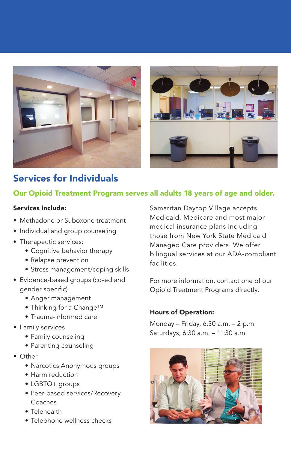



# Services for Individuals

#### Our Opioid Treatment Program serves all adults 18 years of age and older.

#### Services include:

- Methadone or Suboxone treatment
- Individual and group counseling
- Therapeutic services:
	- Cognitive behavior therapy
	- Relapse prevention
	- Stress management/coping skills
- Evidence-based groups (co-ed and gender specific)
	- Anger management
	- Thinking for a Change™
	- Trauma-informed care
- Family services
	- Family counseling
	- Parenting counseling
- Other
	- Narcotics Anonymous groups
	- Harm reduction
	- LGBTQ+ groups
	- Peer-based services/Recovery Coaches
	- Telehealth
	- Telephone wellness checks

Samaritan Daytop Village accepts Medicaid, Medicare and most major medical insurance plans including those from New York State Medicaid Managed Care providers. We offer bilingual services at our ADA-compliant facilities.

For more information, contact one of our Opioid Treatment Programs directly.

#### Hours of Operation:

Monday – Friday, 6:30 a.m. – 2 p.m. Saturdays, 6:30 a.m. – 11:30 a.m.